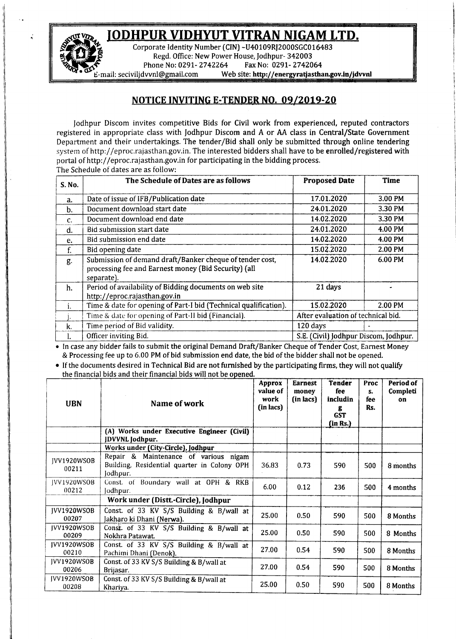## A~ **JODHPUR VIDHYUT VITRAN NIGAM LTD.**



Corporate Identity Number (CIN) -U40109RJ2000SGC016483 Regd. Office: New Power House, Jodhpur- 342003 Phone No: 0291- 2742264 Fax No: 0291- 2742064

-mail: [seciviljdvvnl@gmail.com](mailto:seciviljdvvnl@gmail.com) Web site: http://energyratjasthan.gov.in/jdvvnl

## NOTICE INVITING E-TENDER NO. *09/2019-20*

Jodhpur Discom invites competitive Bids for Civil work from experienced, reputed contractors registered in appropriate class with Jodhpur Discom and A or AA class in Central/State Government Department and their undertakings. The tender/Bid shall only be submitted through online tendering system of <http://eproc.rajasthan.gov.in.> The interested bidders shall have to be enrolled/registered with portal of <http://eproc.rajasthan.gov.in> for participating in the bidding process. The Schedule of dates are as follow:

| S. No.         | The Schedule of Dates are as follows                                                                                           | <b>Proposed Date</b>                  | Time    |  |
|----------------|--------------------------------------------------------------------------------------------------------------------------------|---------------------------------------|---------|--|
| a.             | Date of issue of IFB/Publication date                                                                                          | 17.01.2020                            | 3.00 PM |  |
| $b$            | Document download start date                                                                                                   | 24.01.2020                            | 3.30 PM |  |
| $\mathbf{C}$ . | Document download end date                                                                                                     | 14.02.2020                            | 3.30 PM |  |
| d.             | Bid submission start date                                                                                                      | 24.01.2020                            | 4.00 PM |  |
| e.             | Bid submission end date                                                                                                        | 14.02.2020                            | 4.00 PM |  |
| f.             | Bid opening date                                                                                                               | 15.02.2020                            | 2.00 PM |  |
| g.             | Submission of demand draft/Banker cheque of tender cost,<br>processing fee and Earnest money (Bid Security) (all<br>separate). | 14.02.2020                            | 6.00 PM |  |
| h.             | Period of availability of Bidding documents on web site<br>http://eproc.rajasthan.gov.in                                       | 21 days                               |         |  |
|                | Time & date for opening of Part-I bid (Technical qualification).                                                               | 15.02.2020                            | 2.00 PM |  |
|                | Time & date for opening of Part-II bid (Financial).                                                                            | After evaluation of technical bid.    |         |  |
| k.             | Time period of Bid validity.                                                                                                   | 120 days                              |         |  |
| ı.             | Officer inviting Bid.                                                                                                          | S.E. (Civil) Jodhpur Discom, Jodhpur. |         |  |

• In case any bidder fails to submit the original Demand Draft/Banker Cheque of Tender Cost, Earnest Money & Processing fee up to 6.00 PM of bid submission end date, the bid of the bidder shall not be opened .

• If the documents desired in Technical Bid are not furnished by the participating firms, they will not qualify the financial bids and their financial bids will not be opened.

| <b>UBN</b>                  | Name of work                                                                                     | Approx<br>value of<br>work<br>(in lacs) | <b>Earnest</b><br>money<br>(in lacs) | <b>Tender</b><br>fee<br>includin<br>g<br><b>GST</b><br>(in Rs.) | Proc<br>s.<br>fee<br>Rs. | Period of<br>Completi<br>on |
|-----------------------------|--------------------------------------------------------------------------------------------------|-----------------------------------------|--------------------------------------|-----------------------------------------------------------------|--------------------------|-----------------------------|
|                             | (A) Works under Executive Engineer (Civil)<br><b>JDVVNL</b> Jodhpur.                             |                                         |                                      |                                                                 |                          |                             |
|                             | Works under (City-Circle), Jodhpur                                                               |                                         |                                      |                                                                 |                          |                             |
| IVV1920WSOB<br>00211        | Repair & Maintenance of various nigam<br>Building, Residential quarter in Colony OPH<br>Jodhpur. | 36.83                                   | 0.73                                 | 590                                                             | 500                      | 8 months                    |
| <b>IVV1920WSOB</b><br>00212 | Const. of Boundary wall at OPH & RKB<br>Jodhpur.                                                 | 6.00                                    | 0.12                                 | 236                                                             | 500                      | 4 months                    |
|                             | Work under (Distt.-Circle), Jodhpur                                                              |                                         |                                      |                                                                 |                          |                             |
| JVV1920WSOB<br>00207        | Const. of 33 KV S/S Building & B/wall at<br>Jakharo ki Dhani (Nerwa).                            | 25.00                                   | 0.50                                 | 590                                                             | 500                      | 8 Months                    |
| IVV1920WSOB<br>00209        | Const. of 33 KV S/S Building & B/wall at<br>Nokhra Patawat.                                      | 25.00                                   | 0.50                                 | 590                                                             | 500                      | 8 Months                    |
| IVV1920WSOB<br>00210        | Const. of 33 KV S/S Building & B/wall at<br>Pachimi Dhani (Denok).                               | 27.00                                   | 0.54                                 | 590                                                             | 500                      | 8 Months                    |
| <b>IVV1920WSOB</b><br>00206 | Const. of 33 KV S/S Building & B/wall at<br>Brijasar.                                            | 27.00                                   | 0.54                                 | 590                                                             | 500                      | 8 Months                    |
| <b>IVV1920WSOB</b><br>00208 | Const. of 33 KV S/S Building & B/wall at<br>Khariya.                                             | 25.00                                   | 0.50                                 | 590                                                             | 500                      | 8 Months                    |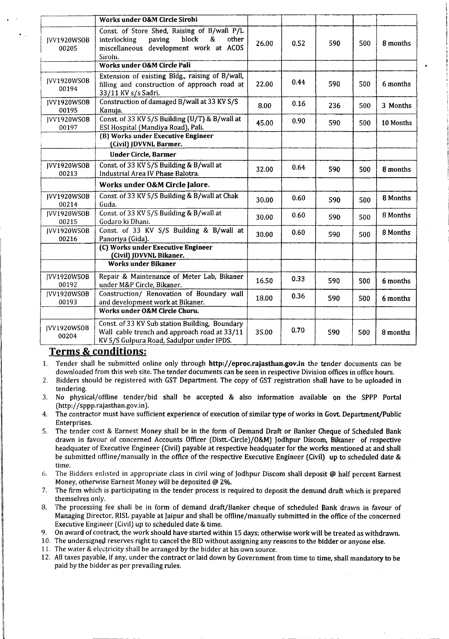|                             | Works under O&M Circle Sirohi                                                                                                                     |       |      |     |     |           |
|-----------------------------|---------------------------------------------------------------------------------------------------------------------------------------------------|-------|------|-----|-----|-----------|
| IVV1920WSOB<br>00205        | Const. of Store Shed, Raising of B/wall P/L<br>block<br>&<br>interlocking<br>paving<br>other<br>miscellaneous development work at ACOS<br>Sirohi. | 26.00 | 0.52 | 590 | 500 | 8 months  |
|                             | Works under O&M Circle Pali                                                                                                                       |       |      |     |     |           |
| IVV1920WSOB<br>00194        | Extension of existing Bldg., raising of B/wall,<br>filling and construction of approach road at<br>33/11 KV s/s Sadri.                            | 22.00 | 0.44 | 590 | 500 | 6 months  |
| JVV1920WSOB<br>00195        | Construction of damaged B/wall at 33 KV S/S<br>Kanuja.                                                                                            | 8.00  | 0.16 | 236 | 500 | 3 Months  |
| IVV1920WSOB<br>00197        | Const. of 33 KV S/S Building (U/T) & B/wall at<br>ESI Hospital (Mandiya Road), Pali.                                                              | 45.00 | 0.90 | 590 | 500 | 10 Months |
|                             | (B) Works under Executive Engineer<br>(Civil) JDVVNL Barmer.                                                                                      |       |      |     |     |           |
|                             | Under Circle, Barmer                                                                                                                              |       |      |     |     |           |
| IVV1920WSOB<br>00213        | Const. of 33 KV S/S Building & B/wall at<br>Industrial Area IV Phase Balotra.                                                                     | 32.00 | 0.64 | 590 | 500 | 8 months  |
|                             | Works under O&M Circle Jalore.                                                                                                                    |       |      |     |     |           |
|                             |                                                                                                                                                   |       |      |     |     |           |
| JVV1920WSOB<br>00214        | Const. of 33 KV S/S Building & B/wall at Chak<br>Guda.                                                                                            | 30.00 | 0.60 | 590 | 500 | 8 Months  |
| IVV1920WSOB<br>00215        | Const. of 33 KV S/S Building & B/wall at<br>Godaro ki Dhani.                                                                                      | 30.00 | 0.60 | 590 | 500 | 8 Months  |
| IVV1920WSOB<br>00216        | Const. of 33 KV S/S Building & B/wall at<br>Panoriya (Gida).                                                                                      | 30.00 | 0.60 | 590 | 500 | 8 Months  |
|                             | (C) Works under Executive Engineer<br>(Civil) JDVVNL Bikaner.                                                                                     |       |      |     |     |           |
|                             | <b>Works under Bikaner</b>                                                                                                                        |       |      |     |     |           |
| JVV1920WSOB<br>00192        | Repair & Maintenance of Meter Lab, Bikaner<br>under M&P Circle, Bikaner.                                                                          | 16.50 | 0.33 | 590 | 500 | 6 months  |
| <b>IVV1920WSOB</b><br>00193 | Construction/ Renovation of Boundary wall<br>and development work at Bikaner.                                                                     | 18.00 | 0.36 | 590 | 500 | 6 months  |
|                             | Works under O&M Circle Churu.                                                                                                                     |       |      |     |     |           |

## **Terms & conditions:**

- 1. Tender shall be submitted online only through <http://eproc.rajasthan.gov.in> the tender documents can be downloaded from this web site. The tender documents can be seen in respective Division offices in office hours.
- 2. Bidders should be registered with GST Department. The copy of GST registration shall have to be uploaded in tendering.
- 3. No physical/offline tender/bid shall be accepted & also information available on the SPPP Portal (http://sppp.rajasthan.gov.in).
- 4. The contractor must have sufficient experience of execution of similar type of works in Govt. Department/Public Enterprises.
- 5. The tender cost & Earnest Money shall be in the form of Demand Draft or Banker Cheque of Scheduled Bank drawn in favour of concerned Accounts Officer (Distt.-Circle)/O&M) Jodhpur Discom, Bikaner of respective headquater of Executive Engineer (Civil) payable at respective headquater for the works mentioned at and shall be submitted offline/manually in the office of the respective Executive Engineer (Civil) up to scheduled date & time.
- 6. The Bidders enlisted in appropriate class in civil wing of Jodhpur Discom shall deposit @ half percent Earnest Money, otherwise Earnest Money will be deposited @ 2%.
- 7. The firm which is participating in the tender process is required to deposit the demand draft which is prepared themselves only.
- 8. The processing fee shall be in form of demand draft/Banker cheque of scheduled Bank drawn in favour of Managing Director, RISL payable at [aipur and shall be offline/manually submitted in the office of the concerned Executive Engineer (Civil) up to scheduled date & time.
- 9. On award of contract, the work should have started within 15 days; otherwise work will be treated as withdrawn.
- 10. The undersigned reserves right to cancel the BID without assigning any reasons to the bidder or anyone else.
- 11. The water & electricity shall be arranged by the bidder at his own source.

11 ~\_~\_~\_

12. All taxes payable, if any, under the contract or laid down by Government from time to time, shall mandatory to be paid by the bidder as per prevailing rules.